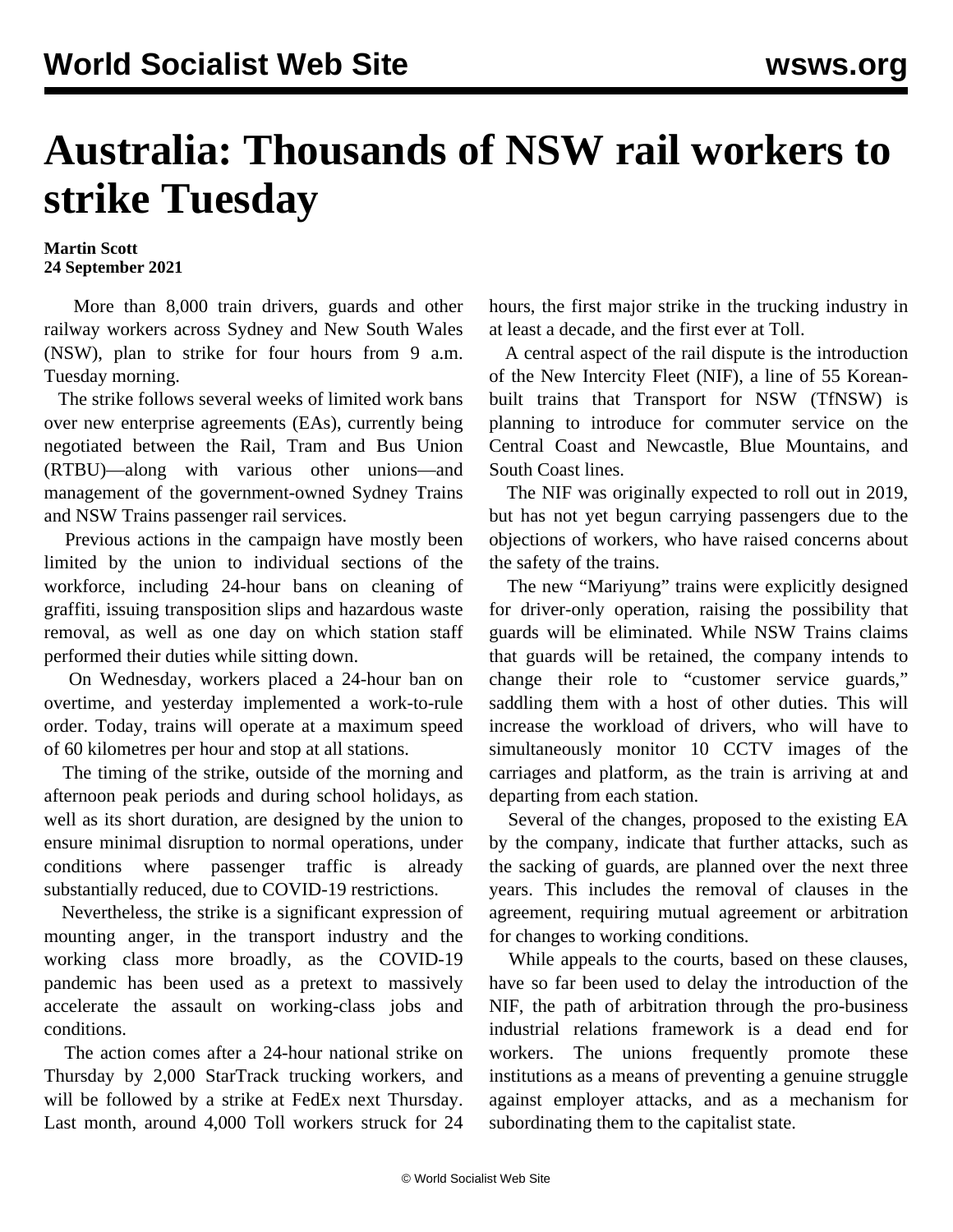## **Australia: Thousands of NSW rail workers to strike Tuesday**

## **Martin Scott 24 September 2021**

 More than 8,000 train drivers, guards and other railway workers across Sydney and New South Wales (NSW), plan to strike for four hours from 9 a.m. Tuesday morning.

 The strike follows several weeks of limited work bans over new enterprise agreements (EAs), currently being negotiated between the Rail, Tram and Bus Union (RTBU)—along with various other unions—and management of the government-owned Sydney Trains and NSW Trains passenger rail services.

 Previous actions in the campaign have mostly been limited by the union to individual sections of the workforce, including 24-hour bans on cleaning of graffiti, issuing transposition slips and hazardous waste removal, as well as one day on which station staff performed their duties while sitting down.

 On Wednesday, workers placed a 24-hour ban on overtime, and yesterday implemented a work-to-rule order. Today, trains will operate at a maximum speed of 60 kilometres per hour and stop at all stations.

 The timing of the strike, outside of the morning and afternoon peak periods and during school holidays, as well as its short duration, are designed by the union to ensure minimal disruption to normal operations, under conditions where passenger traffic is already substantially reduced, due to COVID-19 restrictions.

 Nevertheless, the strike is a significant expression of mounting anger, in the transport industry and the working class more broadly, as the COVID-19 pandemic has been used as a pretext to massively accelerate the assault on working-class jobs and conditions.

 The action comes after a 24-hour national strike on Thursday by 2,000 StarTrack trucking workers, and will be followed by a strike at FedEx next Thursday. Last month, around 4,000 Toll workers struck for 24 hours, the first major strike in the trucking industry in at least a decade, and the first ever at Toll.

 A central aspect of the rail dispute is the introduction of the New Intercity Fleet (NIF), a line of 55 Koreanbuilt trains that Transport for NSW (TfNSW) is planning to introduce for commuter service on the Central Coast and Newcastle, Blue Mountains, and South Coast lines.

 The NIF was originally expected to roll out in 2019, but has not yet begun carrying passengers due to the objections of workers, who have raised concerns about the safety of the trains.

 The new "Mariyung" trains were explicitly designed for driver-only operation, raising the possibility that guards will be eliminated. While NSW Trains claims that guards will be retained, the company intends to change their role to "customer service guards," saddling them with a host of other duties. This will increase the workload of drivers, who will have to simultaneously monitor 10 CCTV images of the carriages and platform, as the train is arriving at and departing from each station.

 Several of the changes, proposed to the existing EA by the company, indicate that further attacks, such as the sacking of guards, are planned over the next three years. This includes the removal of clauses in the agreement, requiring mutual agreement or arbitration for changes to working conditions.

 While appeals to the courts, based on these clauses, have so far been used to delay the introduction of the NIF, the path of arbitration through the pro-business industrial relations framework is a dead end for workers. The unions frequently promote these institutions as a means of preventing a genuine struggle against employer attacks, and as a mechanism for subordinating them to the capitalist state.